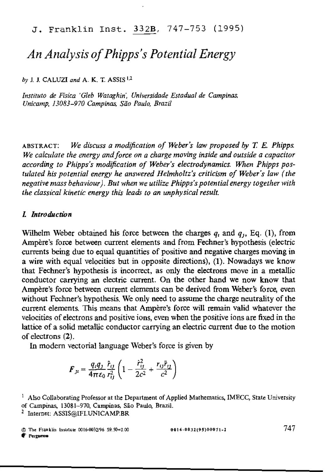J. Franklin lnst. 332B, 747-753 (1995)

# *An Analysis of Phipps's Potential Energy*

*by* 1. 1. CALUZI *and* A\_ K. T. ASSIS 1,2

*[nsfilUlO de Flsica 'Gleb Wataghin', Universidade Estadual de Campinas. Unicamp, 13083-970 Campinas, Silo Paulo, Brazil* 

ABSTRACT: *We discuss a modification of Weber's law proposed by T.* E. *Phipps. We calculate the energy andforce on a charge moving inside and outside a capacitor according to Phipps's modification of Weber's electrodynamics. When Phipps postulated his potential energy he answered Helmholtz's criticism of Weber's law (the negative mass behaviour). But when we utilize Phipps's potential energy together with the classical kinetic energy this leads to an unphysical result.* 

### L *Introduction*

Wilhelm Weber obtained his force between the charges  $q_i$  and  $q_j$ , Eq. (1), from Ampere's force between current elements and from Fechner's hypothesis (electric currents being due to equal quantities of positive and negative charges moving in a wire with equal velocities but in opposite directions), (1). Nowadays we know that Fechner's hypothesis is incorrect, as only the electrons move in a metallic conductor carrying an electric current. On the other hand we now know that Ampere's force between current elements can be derived from Weber's force, even without Fechner's hypothesis. We only need to assume the charge neutrality of the current elements. This means that Ampere's force will remain valid whatever the velocities of electrons and positive ions, even when the positive ions are fixed in the lattice of a solid metallic conductor carrying an electric current due to the motion of electrons (2).

In modem vectorial language Weber's force is given by

$$
F_{ji} = \frac{q_i q_j}{4\pi\epsilon_0} \frac{\hat{r}_{ij}}{r_{ij}^2} \left(1 - \frac{\hat{r}_{ij}^2}{2c^2} + \frac{r_{ij}\hat{r}_{ij}}{c^2}\right)
$$

0016-0032195)00011\_l 747

**C** Pergamon

 $<sup>1</sup>$  Also Collaborating Professor at the Department of Applied Mathematics, IMECC, State University</sup> of Campinas, 13081-970, Campinas, Sao Paulo, Brazil.

<sup>&</sup>lt;sup>2</sup> Internet: ASSIS@IFI.UNICAMP.BR

<sup>©</sup> Th. F,anklin Iml'\UIO 0016-0032196 S9.50+0 <sup>00</sup>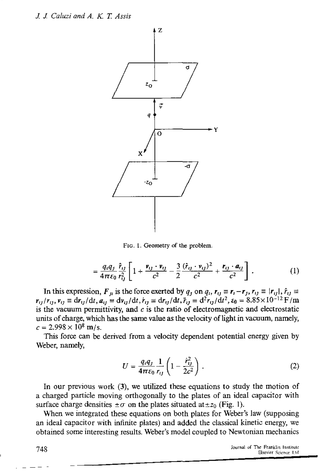

FIG. 1. Geometry of the problem.

$$
= \frac{q_i q_j}{4\pi \varepsilon_0} \frac{\hat{r}_{ij}}{r_{ij}^2} \left[ 1 + \frac{v_{ij} \cdot v_{ij}}{c^2} - \frac{3}{2} \frac{(\hat{r}_{ij} \cdot v_{ij})^2}{c^2} + \frac{r_{ij} \cdot a_{ij}}{c^2} \right].
$$
 (1)

In this expression,  $F_{ij}$  is the force exerted by  $q_j$  on  $q_i$ ,  $r_{ij} \equiv r_j - r_j$ ,  $r_{ij} \equiv |r_{ij}|$ ,  $\hat{r}_{ij} \equiv$  $r_{ij}/r_{ij}$ ,  $v_{ij} \equiv dr_{ij}/dt$ ,  $a_{ij} \equiv dr_{ij}/dt$ ,  $\dot{r}_{ij} \equiv dr_{ij}/dt$ ,  $\ddot{r}_{ij} \equiv d^2r_{ij}/dt^2$ ,  $\varepsilon_0 = 8.85 \times 10^{-12}$  F/m is the vacuum permittivity, and *c* is the ratio of electromagnetic and electrostatic units of charge, which has the same value as the velocity of light in vacuum, namely,  $c = 2.998 \times 10^8$  m/s.

This force can be derived from a velocity dependent potential energy given by Weber, namely,

$$
U = \frac{q_i q_j}{4\pi\epsilon_0} \frac{1}{r_{ij}} \left( 1 - \frac{\dot{r}_{ij}^2}{2c^2} \right) . \tag{2}
$$

In our previous work (3), we utilized these equations to study the motion of a charged particle moving orthogonally to the plates of an ideal capacitor with surface charge densities  $\pm \sigma$  on the plates situated at  $\pm z_0$  (Fig. 1).

\Vhen we integrated these equations on both plates for Weber's law (supposing an ideal capacitor with infinite plates) and added the classical kinetic energy, we obtained some interesting results. Weber's model coupled to Newtonian mechanics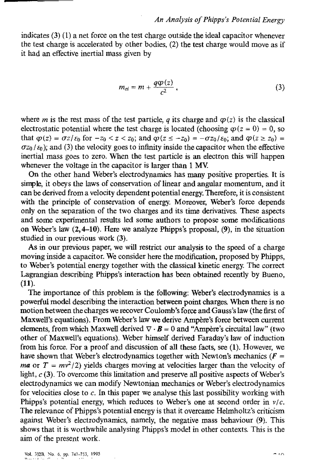indicates (3) (l) a net force on the test charge outside the ideal capacitor whenever the test charge is accelerated by other bodies, (2) the test charge would move as if it had an effective inertial mass given by

$$
m_{ei} = m + \frac{q\varphi(z)}{c^2} \,, \tag{3}
$$

where m is the rest mass of the test particle, q its charge and  $\varphi(z)$  is the classical electrostatic potential where the test charge is located (choosing  $\varphi(z = 0) = 0$ , so that  $\varphi(z) = \overline{\sigma z/\varepsilon_0}$  for  $-z_0 < z < z_0$ ; and  $\varphi(z \leq -z_0) = -\sigma z_0/\varepsilon_0$ ; and  $\varphi(z \geq z_0) =$  $\sigma_{Z_0}/\varepsilon_0$ ; and (3) the velocity goes to infinity inside the capacitor when the effective inertial mass goes to zero. When the test particle is an electron this will happen whenever the voltage in the capacitor is larger than 1 MY.

On the other hand Weber's electrodynamics has many positive properties. It is simple, it obeys the laws of conservation of linear and angular momentum, and it can be derived from a velocity dependent potential energy. Therefore, it is consistent with the principle of conservation of energy. Moreover, Weber's force depends only on the separation of the two charges and its time derivatives. These aspects and some experimental results led some authors to propose some modifications on Weber's law (2,4-10). Here we analyze Phipps's proposal, (9), in the situation studied in our previous work (3).

As in our previous paper, we will restrict our analysis to the speed of a charge moving inside a capacitor. We consider here the modification, proposed by Phipps, to Weber's potential energy together with the classical kinetic energy. The correct Lagrangian describing Phipps's interaction has been obtained recently by Bueno, (11).

The importance of this problem is the following: Weber's electrodynamics is a powerful model describing the interaction between point charges. When there is no motion between the charges we recover Coulomb's force and Gauss's law (the first of Maxwell's equations). From Weber's law we derive Ampere's force between current elements, from which Maxwell derived  $\nabla \cdot \mathbf{B} = 0$  and "Ampere's circuital law" (two other of Maxwell's equations). Weber himself derived Faraday's law of induction from his force. For a proof and discussion of all these facts, see (1). However, we have shown that Weber's electrodynamics together with Newton's mechanics ( $\vec{F}$  = *ma* or  $T = mv^2/2$ ) yields charges moving at velocities larger than the velocity of light,  $c$  (3). To overcome this limitation and preserve all positive aspects of Weber's electrodynamics we can modify Newtonian mechanics or Weber's electrodynamics for velocities close to  $c$ . In this paper we analyse this last possibility working with Phipps's potential energy, which reduces to Weber's one at second order in *vic.*  The relevance of Phipps's potential energy is that it overcame Helmholtz's criticism against Weber's electrodynamics, namely, the negative mass behaviour (9). This shows that it is worthwhile analysing Phipps's model in other contexts. This is the aim of the present work.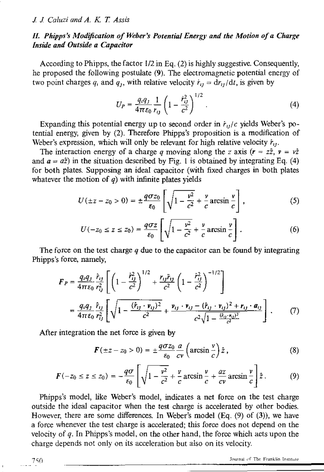# *II. Phipps's Modification of Weber's Potential Energy and the Motion of a Charge Inside and Outside a Capacitor*

According to Phipps, the factor  $1/2$  in Eq. (2) is highly suggestive. Consequently, he proposed the following postulate (9). The electromagnetic potential energy of two point charges q<sub>i</sub> and q<sub>1</sub>, with relative velocity  $\dot{r}_{ij} = dr_{ij}/dt$ , is given by

$$
U_P = \frac{q_i q_j}{4\pi\epsilon_0} \frac{1}{r_{ij}} \left( 1 - \frac{\dot{r}_{ij}^2}{c^2} \right)^{1/2} . \tag{4}
$$

Expanding this potential energy up to second order in  $\dot{r}_{ij}/c$  yields Weber's potential energy, given by (2). Therefore Phipps's proposition is a modification of Weber's expression, which will only be relevant for high relative velocity  $r_{ij}$ ,

The interaction energy of a charge *q* moving along the *z* axis  $(r = z\hat{z}, v = v\hat{z})$ and  $a = a\hat{z}$ ) in the situation described by Fig. 1 is obtained by integrating Eq. (4) for both plates. Supposing an ideal capacitor (with fixed charges in both plates whatever the motion of *q)* with infinite plates yields

$$
U(\pm z - z_0 > 0) = \pm \frac{q\sigma z_0}{\epsilon_0} \left[ \sqrt{1 - \frac{v^2}{c^2}} + \frac{v}{c} \arcsin \frac{v}{c} \right],
$$
 (5)

$$
U(-z_0 \le z \le z_0) = \frac{q\sigma z}{\epsilon_0} \left[ \sqrt{1 - \frac{v^2}{c^2}} + \frac{v}{c} \arcsin \frac{v}{c} \right].
$$
 (6)

The force on the test charge *q* due to the capacitor can be found by integrating Phipps's force, namely,

$$
F_P = \frac{q_i q_j}{4\pi\epsilon_0} \frac{\hat{r}_{ij}}{r_{ij}^2} \left[ \left( 1 - \frac{\hat{r}_{ij}^2}{c^2} \right)^{1/2} + \frac{r_{ij}\tilde{r}_{ij}}{c^2} \left( 1 - \frac{\hat{r}_{ij}^2}{c^2} \right)^{-1/2} \right]
$$
  
= 
$$
\frac{q_i q_j}{4\pi\epsilon_0} \frac{\hat{r}_{ij}}{r_{ij}^2} \left[ \sqrt{1 - \frac{(\hat{r}_{ij} + \mathbf{v}_{ij})^2}{c^2} + \frac{\mathbf{v}_{ij} + \mathbf{v}_{ij} - (\hat{r}_{ij} + \mathbf{v}_{ij})^2 + \mathbf{r}_{ij} \cdot \mathbf{a}_{ij}}{c^2 \sqrt{1 - \frac{(\hat{r}_{ij} \cdot \mathbf{v}_{ij})^2}{c^2}}} \right].
$$
 (7)

After integration the net force is given by

$$
\boldsymbol{F}(\pm z - z_0 > 0) = \pm \frac{q\sigma z_0}{\epsilon_0} \frac{a}{c\nu} \left( \arcsin \frac{\nu}{c} \right) \hat{z} \,, \tag{8}
$$

$$
F(-z_0 \le z \le z_0) = -\frac{q\sigma}{\epsilon_0} \left[ \sqrt{1 - \frac{v^2}{c^2}} + \frac{v}{c} \arcsin \frac{v}{c} + \frac{az}{cv} \arcsin \frac{v}{c} \right] \hat{z}.
$$
 (9)

Phipps's model, like Weber's model, indicates a net force on the test charge outside the ideal capacitor when the test charge is accelerated by other bodies. However, there are some differences. In Weber's model (Eq. (9) of (3)), we have a force whenever the test charge is accelerated; this force does not depend on the velocity of  $q$ . In Phipps's model, on the other hand, the force which acts upon the charge depends not only on its acceleration but also on its velocity.

Journal of The Franklin Institute

750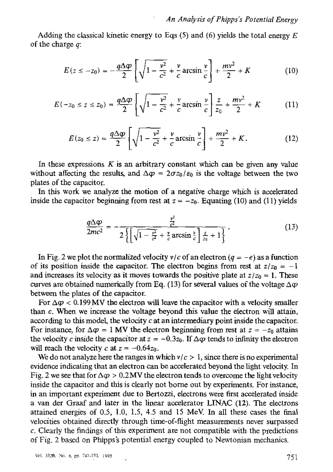Adding the classical kinetic energy to Eqs  $(5)$  and  $(6)$  yields the total energy E of the charge *q:* 

$$
E(z \le -z_0) = -\frac{q\Delta\varphi}{2} \left[ \sqrt{1 - \frac{v^2}{c^2}} + \frac{v}{c} \arcsin \frac{v}{c} \right] + \frac{mv^2}{2} + K \tag{10}
$$

$$
E(-z_0 \le z \le z_0) = \frac{q\Delta\varphi}{2} \left[ \sqrt{1 - \frac{v^2}{c^2}} + \frac{v}{c} \arcsin \frac{v}{c} \right] \frac{z}{z_0} + \frac{mv^2}{2} + K \tag{11}
$$

$$
E(z_0 \le z) = \frac{q \Delta \varphi}{2} \left[ \sqrt{1 - \frac{v^2}{c^2}} + \frac{v}{c} \arcsin \frac{v}{c} \right] + \frac{mv^2}{2} + K. \tag{12}
$$

In these expressions  $K$  is an arbitrary constant which can be given any value without affecting the results, and  $\Delta \varphi = 2\sigma z_0 / \varepsilon_0$  is the voltage between the two plates of the capacitor.

In this work we analyze the motion of a negative charge which is accelerated inside the capacitor beginning from rest at  $z = -z_0$ . Equating (10) and (11) yields

$$
\frac{q\Delta\varphi}{2mc^2} = -\frac{\frac{v^2}{c^2}}{2\left\{\left[\sqrt{1-\frac{v^2}{c^2}} + \frac{v}{c}\arcsin\frac{v}{c}\right]\frac{z}{z_0} + 1\right\}}.
$$
\n(13)

In Fig. 2 we plot the normalized velocity  $v/c$  of an electron ( $q = -e$ ) as a function of its position inside the capacitor. The electron begins from rest at  $z/z_0 = -1$ and increases its velocity as it moves towards the positive plate at  $z/z_0 = 1$ . These curves are obtained numerically from Eq. (13) for several values of the voltage  $\Delta \varphi$ between the plates of the capacitor.

For  $\Delta \varphi < 0.199 \, \text{MV}$  the electron will leave the capacitor with a velocity smaller than  $c$ . When we increase the voltage beyond this value the electron will attain, according to this model, the velocity  $c$  at an intermediary point inside the capacitor. For instance, for  $\Delta \varphi = 1$  MV the electron beginning from rest at  $z = -z_0$  attains the velocity c inside the capacitor at  $z = -0.3z_0$ . If  $\Delta \varphi$  tends to infinity the electron will reach the velocity c at  $z = -0.64z_0$ .

We do not analyze here the ranges in which  $v/c > 1$ , since there is no experimental evidence indicating that an electron can be accelerated beyond the light velocity. In Fig. 2 we see that for  $\Delta \varphi > 0.2$  MV the electron tends to overcome the light velocity inside the capacitor and this is clearly not borne out by experiments. For instance, in an important experiment due to Bertozzi, electrons were first accelerated inside a van der Graaf and later in the linear accelerator LINAC (12). The electrons attained energies of 0.5, 1.0, 1.5, 4.5 and 15 MeV. In all these cases the final velocities obtained directly through time-of-flight measurements never surpassed c. Clearly the findings of this experiment are not compatible with the predictions of Fig. 2 based on Phipps's potential energy coupled to Newtonian mechanics.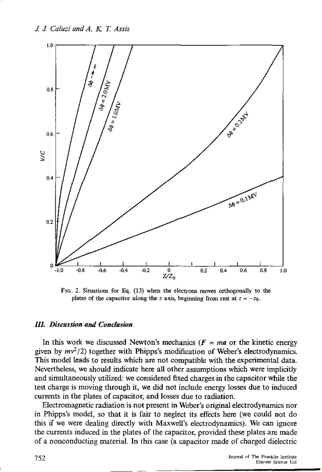J J *Caluzi and A. K T Assis* 



FlG. 2. Situations for Eq. (13) when the electrons moves orthogonally 10 the plates of the capacitor along the *z* axis, beginning from rest at  $z = -z_0$ .

#### *Ill. Discussion and Condusion*

In this work we discussed Newton's mechanics ( $F = ma$  or the kinetic energy given by  $mv^2/2$ ) together with Phipps's modification of Weber's electrodynamics. This model leads to results which are not compatible with the experimental data. Nevertheless, we should indicate here all other assumptions which were implicitly and simultaneously utilized: we considered fixed charges in the capacitor while the test charge is moving through it, we did not include energy losses due to induced currents in the plates of capacitor, and losses due to radiation.

Electromagnetic radiation is not present in Weber's original electrodynamics nor in Phipps's model, so that it is fair to neglect its effects here (we could not do this if we were dealing directly with Maxwell's electrodynamics). We can ignore the currents mduced in the plates of the capacitor, provided these plates are made of a nonconducting material. In this case (a capacitor made of charged dielectric